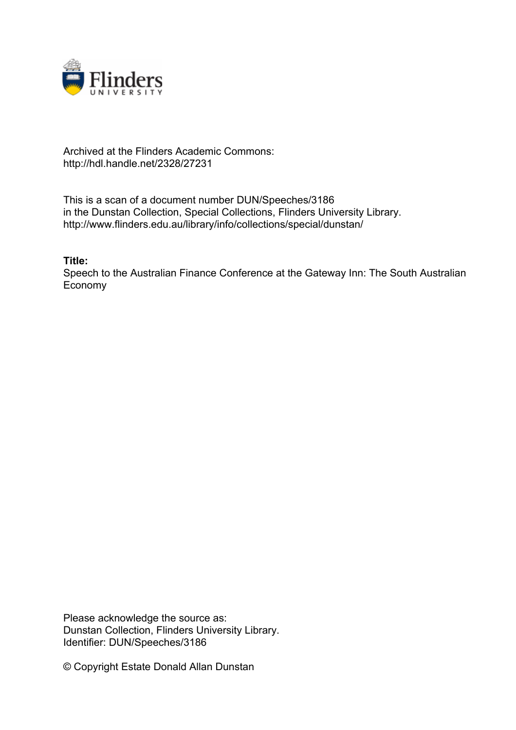

## Archived at the Flinders Academic Commons: http://hdl.handle.net/2328/27231

This is a scan of a document number DUN/Speeches/3186 in the Dunstan Collection, Special Collections, Flinders University Library. http://www.flinders.edu.au/library/info/collections/special/dunstan/

**Title:**

Speech to the Australian Finance Conference at the Gateway Inn: The South Australian Economy

Please acknowledge the source as: Dunstan Collection, Flinders University Library. Identifier: DUN/Speeches/3186

© Copyright Estate Donald Allan Dunstan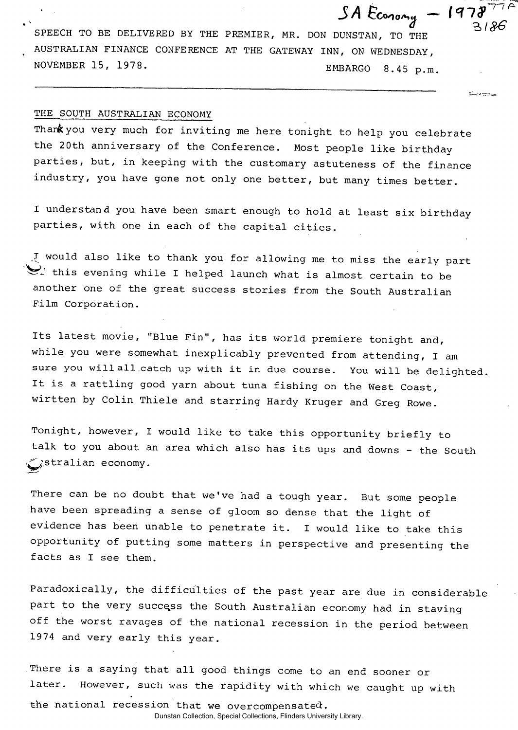**SPEECH TO BE DELIVERED BY THE PREMIER, MR. DON DUNSTAN, TO THE AUSTRALIAN FINANCE CONFERENCE AT THE GATEWAY INN, ON WEDNESDAY, NOVEMBER 15, 1978. EMBARGO 8.45 p.m.** 

 $SA$   $E_{conomy} - 1978$ <sup>77A</sup>

**King of The Contract Contract** 

## **THE SOUTH AUSTRALIAN ECONOMY**

Than**k** you very much for inviting me here tonight to help you celebrate **the 20th anniversary of the Conference. Most people like birthday parties, but, in keeping with the customary astuteness of the finance industry, you have gone not only one better, but many times better.** 

**I understand you have been smart enough to hold at least six birthday parties, with one in each of the capital cities.** 

**\_.T would also like to thank you for allowing me to miss the early part**   $\sum$  this evening while I helped launch what is almost certain to be **another one of the great success stories from the South Australian Film Corporation.** 

**Its latest movie, "Blue Fin", has its world premiere tonight and, while you were somewhat inexplicably prevented from attending, I am sure you will all catch up with it in due course. You will be delighted. It is a rattling good yarn about tuna fishing on the West Coast, wirtten by Colin Thiele and starring Hardy Kruger and Greg Rowe.** 

**Tonight, however, I would like to take this opportunity briefly to talk to you about an area which also has its ups and downs - the South .^j.stralian economy.** 

**There can be no doubt that we've had a tough year. But some people have been spreading a sense of gloom so dense that the light of evidence has been unable to penetrate it. I would like to take this opportunity of putting some matters in perspective and presenting the facts as I see them.** 

**Paradoxically, the difficulties of the past year are due in considerable part to the very success the South Australian economy had in staving off the worst ravages of the national recession in the period between 1974 and very early this year.** 

**There is a saying that all good things come to an end sooner or later. However, such was the rapidity with which we caught up with the national recession that we over compensated:.** 

Dunstan Collection, Special Collections, Flinders University Library.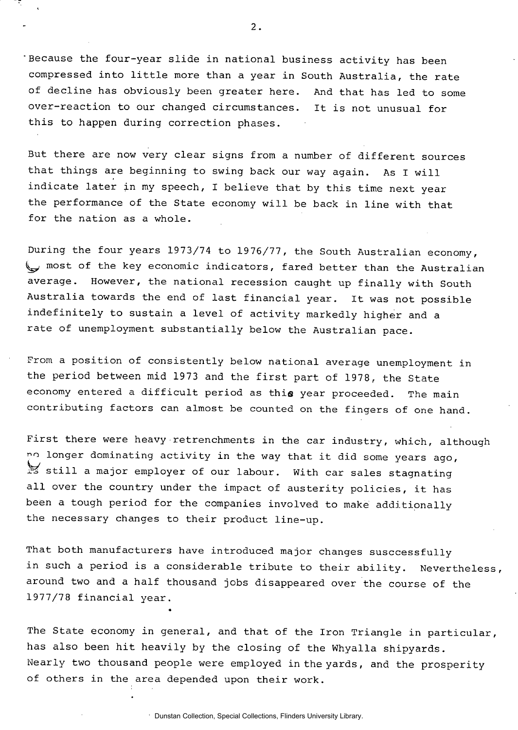**Because the four-year slide in national business activity has been compressed into little more than a year in South Australia, the rate of decline has obviously been greater here. And that has led to some over-reaction to our changed circumstances. It is not unusual for this to happen during correction phases.** 

**But there are now very clear signs from a number of different sources that things are beginning to swing back our way again. As I will indicate later in my speech, I believe that by this time next year the performance of the State economy will be back in line with that for the nation as a whole.** 

**During the four years 1973/74 to 1976/77, the South Australian economy, most of the key economic indicators, fared better than the Australian average. However, the national recession caught up finally with South Australia towards the end of last financial year. It was not possible indefinitely to sustain a level of activity markedly higher and a rate of unemployment substantially below the Australian pace.** 

**From a position of consistently below national average unemployment in the period between mid 1973 and the first part of 1978, the State economy entered a difficult period as this year proceeded. The main contributing factors can almost be counted on the fingers of one hand.** 

**First there were heavy retrenchments in the car industry, which, although no longer dominating activity in the way that it did some years ago, r-o still a major employer of our labour. With car sales stagnating all over the country under the impact of austerity policies, it has been a tough period for the companies involved to make additionally the necessary changes to their product line-up.** 

**That both manufacturers have introduced major changes susccessfully in such a period is a considerable tribute to their ability. Nevertheless around two and a half thousand jobs disappeared over the course of the 1977/78 financial year.** 

**The State economy in general, and that of the Iron Triangle in particular, has also been hit heavily by the closing of the Whyalla shipyards. Nearly two thousand people were employed in the yards, and the prosperity of others in the area depended upon their work.** 

«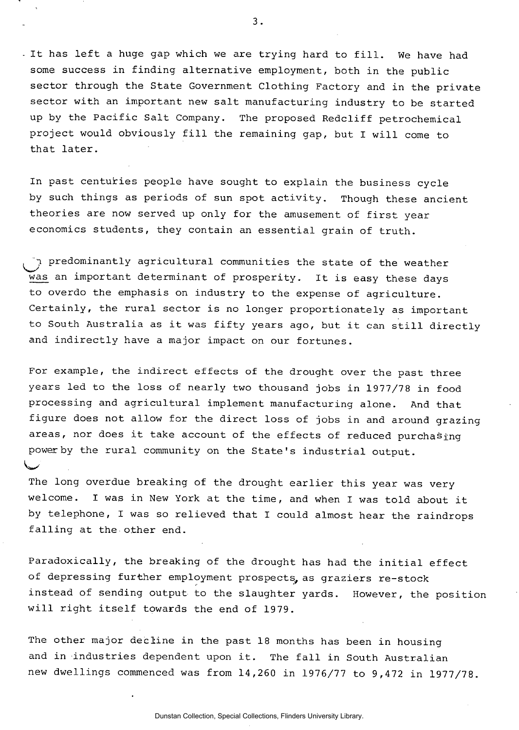**It has left a huge gap which we are trying hard to fill. We have had some success in finding alternative employment, both in the public sector through the State Government Clothing Factory and in the private sector with an important new salt manufacturing industry to be started up by the Pacific Salt Company. The proposed Redcliff petrochemical project would obviously fill the remaining gap, but I will come to that later.** 

**In past centuries people have sought to explain the business cycle by such things as periods of sun spot activity. Though these ancient theories are now served up only for the amusement of first year economics students, they contain an essential grain of truth.** 

**predominantly agricultural communities the state of the weather was an important determinant of prosperity. It is easy these days to overdo the emphasis on industry to the expense of agriculture. Certainly, the rural sector is no longer proportionately as important to South Australia as it was fifty years ago, but it can still directly and indirectly have a major impact on our fortunes.** 

**For example, the indirect effects of the drought over the past three years led to the loss of nearly two thousand jobs in 1977/78 in food processing and agricultural implement manufacturing alone. And that figure does not allow for the direct loss of jobs in and around grazing areas, nor does it take account of the effects of reduced purchasing power by the rural community on the State's industrial output.** 

**The long overdue breaking of the drought earlier this year was very welcome. I was in New York at the time, and when I was told about it by telephone, I was so relieved that I could almost hear the raindrops falling at the other end.** 

I*Tiffs'* 

**Paradoxically, the breaking of the drought has had the initial effect of depressing further employment prospects, as graziers re-stock instead of sending output to the slaughter yards. However, the position will right itself towards the end of 1979.** 

**The other major decline in the past 18 months has been in housing and in industries dependent upon it. The fall in South Australian new dwellings commenced was from 14,260 in 1976/77 to 9,472 in 1977/78.**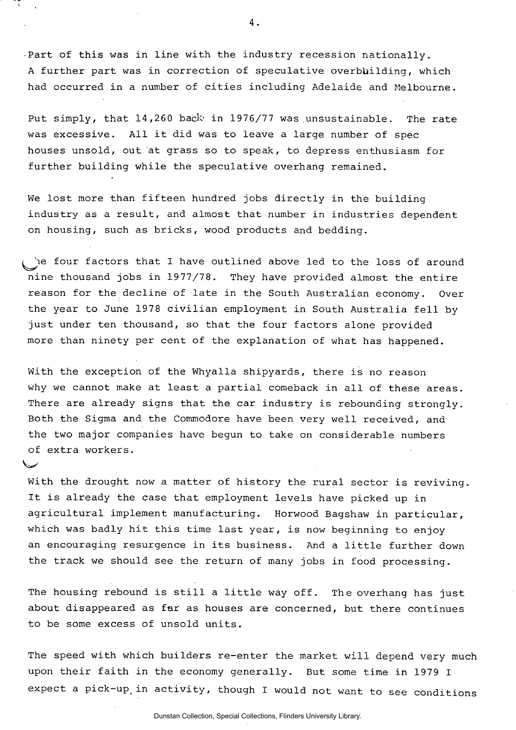**•Part of this was in line with the industry recession nationally. A further part was in correction of speculative overbuilding, which had occurred in a number of cities including Adelaide and Melbourne.** 

Put simply, that 14,260 back in 1976/77 was unsustainable. The rate **was excessive. All it did was to leave a large number of spec houses unsold, out at grass so to speak, to depress enthusiasm for further building while the speculative overhang remained.** 

**We lost more than fifteen hundred jobs directly in the building industry as a result, and almost that number in industries dependent on housing, such as bricks, wood products and bedding.** 

**four factors that I have outlined above led to the loss of around nine thousand jobs in 19 77/7 8. They have provided almost the entire reason for the decline of late in the South Australian economy. Over the year to June 1978 civilian employment in South Australia fell by just under ten thousand, so that the four factors alone provided more than ninety per cent of the explanation of what has happened.** 

**With the exception of the Whyalla shipyards, there is no reason why we cannot make at least a partial comeback in all of these areas. There are already signs that the car industry is rebounding strongly. Both the Sigma and the Commodore have been very well received, and the two major companies have begun to take on considerable numbers of extra workers.** 

ممعضا

**With the drought now a matter of history the rural sector is reviving. It is already the case that employment levels have picked up in agricultural implement manufacturing. Horwood Bagshaw in particular, which was badly hit this time last year, is now beginning to enjoy an encouraging resurgence in its business. And a little further down the track we should see the return of many jobs in food processing.** 

**The housing rebound is still a little way off. The overhang has just about disappeared as far as houses are concerned, but there continues to be some excess of unsold units.** 

**The speed with which builders re-enter the market will depend very much upon their faith in the economy generally. But some time in 1979 I expect a pick-uptin activity, though I would not want to see conditions**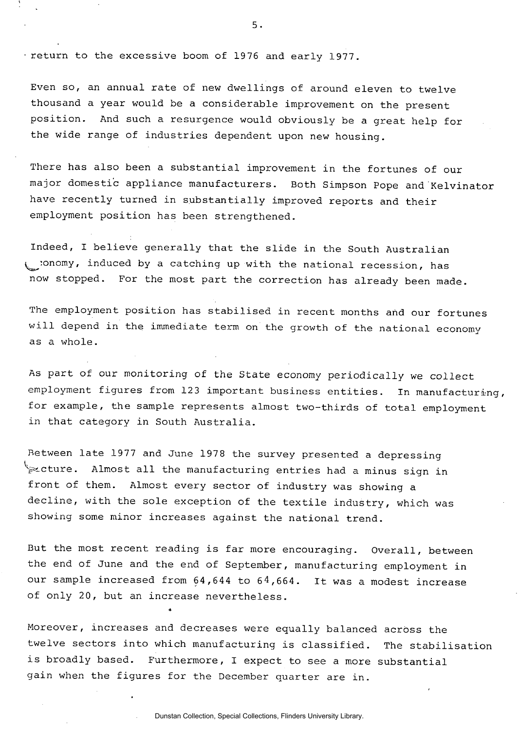**- return to the excessive boom of 1976 and early 1977.** 

**Even so, an annual rate of new dwellings of around eleven to twelve thousand a year would be a considerable improvement on the present position. And such a resurgence would obviously be a great help for the wide range of industries dependent upon new housing.** 

**There has also been a substantial improvement in the fortunes of our major domestic appliance manufacturers. Both Simpson Pope and Kelvinator have recently turned in substantially improved reports and their employment position has been strengthened.** 

**Indeed, I believe generally that the slide in the South Australian y^onomy, induced by a catching up with the national recession, has now stopped. For the most part the correction has already been made.** 

**The employment position has stabilised in recent months and our fortunes will depend in the immediate term on the growth of the national economy as a whole.** 

**As part of our monitoring of the State economy periodically we collect**  employment figures from 123 important business entities. In manufacturing, **for example, the sample represents almost two-thirds of total employment in that category in South Australia.** 

**Between late 1977 and June 1978 the survey presented a depressing V\*-cture. Almost all the manufacturing entries had a minus sign in front of them. Almost every sector of industry was showing a decline, with the sole exception of the textile industry, which was showing some minor increases against the national trend.** 

**But the most recent reading is far more encouraging. Overall, between the end of June and the end of September, manufacturing employment in our sample increased from 64,644 to 6 4,664. It was a modest increase of only 20, but an increase nevertheless.** 

«

**Moreover, increases and decreases were equally balanced across the twelve sectors into which manufacturing is classified. The stabilisation is broadly based. Furthermore, I expect to see a more substantial gain when the figures for the December quarter are in.**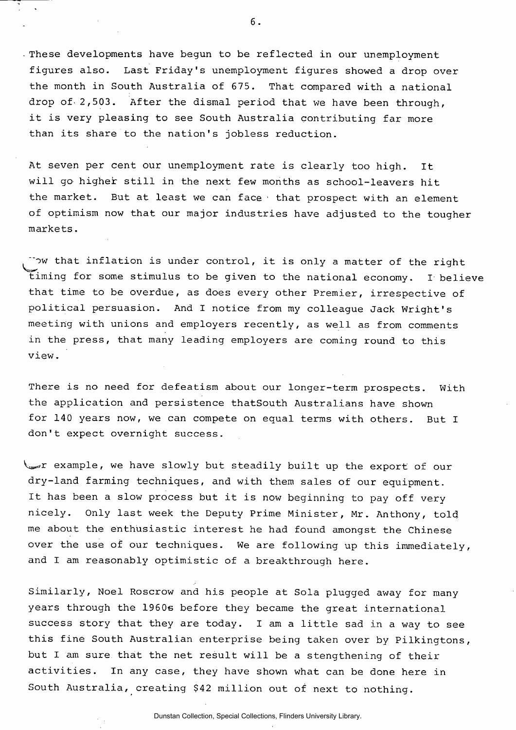**- These developments have begun to be reflected in our unemployment figures also. Last Friday's unemployment figures showed a drop over the month in South Australia of 675. That compared with a national drop of- 2,503. After the dismal period that we have been through, it is very pleasing to see South Australia contributing far more than its share to the nation's jobless reduction.** 

**At seven per cent our unemployment rate is clearly too high. It will go higher still in the next few months as school-leavers hit the market. But at least we can face • that prospect with an element of optimism now that our major industries have adjusted to the tougher markets.** 

**"ow that inflation is under control, it is only a matter of the right timing for some stimulus to be given to the national economy. I believe that time to be overdue, as does every other Premier, irrespective of political persuasion. And I notice from my colleague Jack Wright's meeting with unions and employers recently, as well as from comments in the press, that many leading employers are coming round to this view.** 

**There is no need for defeatism about our longer-term prospects. With the application and persistence thatSouth Australians have shown for 140 years now, we can compete on equal terms with others. But I don't expect overnight success.** 

**V ^ r example, we have slowly but steadily built up the export of our dry-land farming techniques, and with them sales of our equipment.**  It has been a slow process but it is now beginning to pay off very nicely. Only last week the Deputy Prime Minister, Mr. Anthony, told me about the enthusiastic interest he had found amongst the Chinese over the use of our techniques. We are following up this immediately, and I am reasonably optimistic of a breakthrough here.

**Similarly, Noel Roscrow and his people at Sola plugged away for many years through the 1960e before they became the great international success story that they are today. I am a little sad in a way to see this fine South Australian enterprise being taken over by Pilkingtons, but I am sure that the net result will be a stengthening of their activities. In any case, they have shown what can be done here in South Australia, creating \$42 million out of next to nothing.**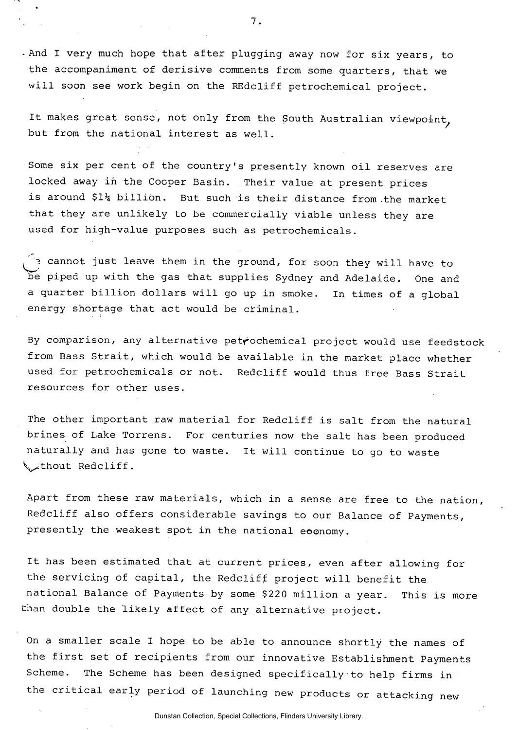**-And I very much hope that after plugging away now for six years, to the accompaniment of derisive comments from some quarters, that we will soon see work begin on the REdcliff petrochemical project.** 

It makes great sense, not only from the South Australian viewpoint, **but from the national interest as well.** 

**Some six per cent of the country's presently known oil reserves are locked away in the Cocper Basin. Their value at present prices is around \$1h billion. But such is their distance from the market that they are unlikely to be commercially viable unless they are used for high-value purposes such as petrochemicals.** 

**cannot just leave them in the ground, for soon they will have to be piped up with the gas that supplies Sydney and Adelaide. One and a quarter billion dollars will go up in smoke. In times of a global energy shortage that act would be criminal.** 

**By comparison, any alternative petrochemical project would use feedstock from Bass Strait, which would be available in the market place whether used for petrochemicals or not. Redcliff would thus free Bass Strait resources for other uses.** 

**The other important raw material for Redcliff is salt from the natural brines of Lake Torrens. For centuries now the salt has been produced naturally and has gone to waste. It will continue to go to waste ^.thout Redcliff.** 

**Apart from these raw materials, which in a sense are free to the nation, Redcliff also offers considerable savings to our Balance of Payments, presently the weakest spot in the national eoonomy.** 

**It has been estimated that at current prices, even after allowing for the servicing of capital, the Redcliff project will benefit the national Balance of Payments by some \$220 million a year. This is more than double the likely affect of any. alternative project.** 

**On a smaller scale I hope to be able to announce shortly the names of the first set of recipients from our innovative Establishment Payments Scheme. The Scheme has been designed specifically to help firms in the critical early period of launching new products or attacking new** 

Dunstan Collection, Special Collections, Flinders University Library.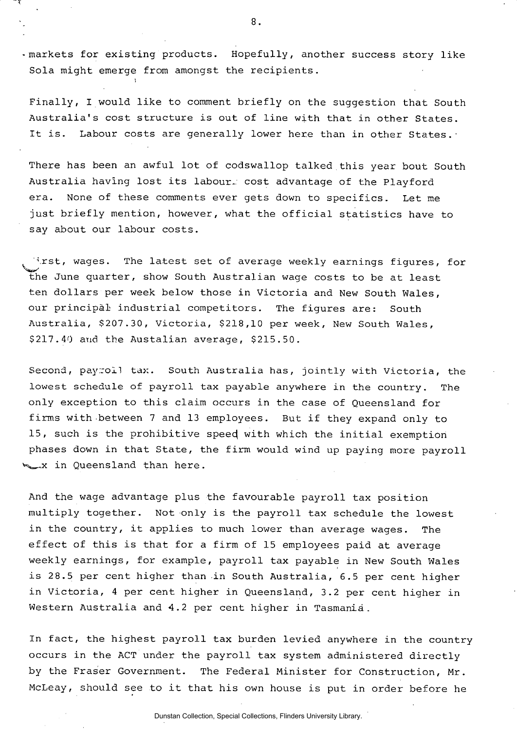**-markets for existing products. Hopefully, another success story like Sola might emerge from amongst the recipients.** 

**Finally, I would like to comment briefly on the suggestion that South Australia's cost structure is out of line with that in other States. It is. Labour costs are generally lower here than in other States.-**

**There has been an awful lot of codswallop talked this year bout South Australia having lost its labour- cost advantage of the Playford era. None of these comments ever gets down to specifics. Let me just briefly mention, however, what the official statistics have to say about our labour costs.** 

**\rst, wages. The latest set of average weekly earnings figures, for the June quarter, show South Australian wage costs to be at least ten dollars per week below those in Victoria and New South Wales, our principal industrial competitors. The figures are: South Australia, \$207.30, Victoria, \$218,10 per week, New South Wales, \$217.40 and the Austalian average, \$215.50.** 

**Second, payroll tax. South Australia has, jointly with Victoria, the lowest schedule of payroll tax payable anywhere in the country. The only exception to this claim occurs in the case of Queensland for firms with between 7 and 13 employees. But if they expand only to 15, such is the prohibitive speecj with which the initial exemption**  phases down in that State, the firm would wind up paying more payroll **in** Queensland than here.

**And the wage advantage plus the favourable payroll tax position multiply together. Not only is the payroll tax schedule the lowest in the country, it applies to much lower than average wages. The effect of this is that for a firm of 15 employees paid at average weekly earnings, for example, payroll tax payable in New South Wales is 28.5 per cent higher than in South Australia, 6.5 per cent higher in Victoria, 4 per cent higher in Queensland, 3.2 per cent higher in Western Australia and** *4.2* **per cent higher in Tasmania.** 

**In fact, the highest payroll tax burden levied anywhere in the country occurs in the ACT under the payroll tax system administered directly by the Fraser Government. The Federal Minister for Construction, Mr. McLeay, should see to it that his own house is put in order before he** 

Dunstan Collection, Special Collections, Flinders University Library.